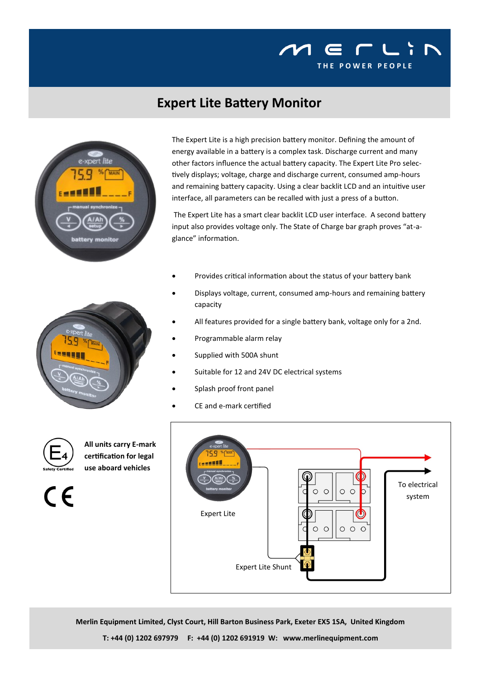

## **Expert Lite Battery Monitor**





The Expert Lite has a smart clear backlit LCD user interface. A second battery input also provides voltage only. The State of Charge bar graph proves "at-aglance" information.

- Provides critical information about the status of your battery bank
- Displays voltage, current, consumed amp-hours and remaining battery capacity
- All features provided for a single battery bank, voltage only for a 2nd.
- Programmable alarm relay
- Supplied with 500A shunt
- Suitable for 12 and 24V DC electrical systems
- Splash proof front panel
- CE and e-mark certified



 $\epsilon$ 

**All units carry E-mark certification for legal use aboard vehicles**



**Merlin Equipment Limited, Clyst Court, Hill Barton Business Park, Exeter EX5 1SA, United Kingdom**

**T: +44 (0) 1202 697979 F: +44 (0) 1202 691919 W: www.merlinequipment.com**